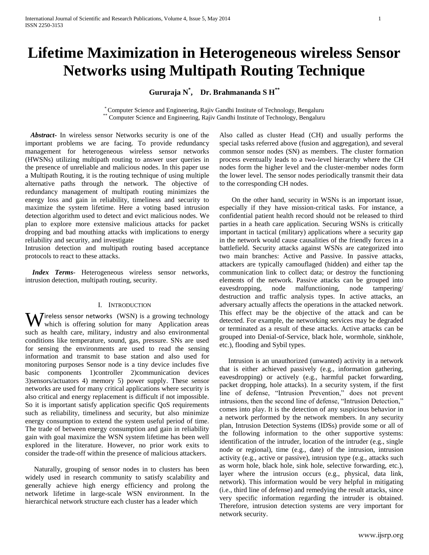# **Lifetime Maximization in Heterogeneous wireless Sensor Networks using Multipath Routing Technique**

# **Gururaja N\* , Dr. Brahmananda S H\*\***

\* Computer Science and Engineering, Rajiv Gandhi Institute of Technology, Bengaluru \*\* Computer Science and Engineering, Rajiv Gandhi Institute of Technology, Bengaluru

 *Abstract***-** In wireless sensor Networks security is one of the important problems we are facing. To provide redundancy management for heterogeneous wireless sensor networks (HWSNs) utilizing multipath routing to answer user queries in the presence of unreliable and malicious nodes. In this paper use a Multipath Routing, it is the routing technique of using multiple alternative paths through the network. The objective of redundancy management of multipath routing minimizes the energy loss and gain in reliability, timeliness and security to maximize the system lifetime. Here a voting based intrusion detection algorithm used to detect and evict malicious nodes. We plan to explore more extensive malicious attacks for packet dropping and bad mouthing attacks with implications to energy reliability and security, and investigate

Intrusion detection and multipath routing based acceptance protocols to react to these attacks.

 *Index Terms*- Heterogeneous wireless sensor networks, intrusion detection, multipath routing, security.

## I. INTRODUCTION

**W** ireless sensor networks (WSN) is a growing technology which is offering solution for many Application areas which is offering solution for many Application areas such as health care, military, industry and also environmental conditions like temperature, sound, gas, pressure. SNs are used for sensing the environments are used to read the sensing information and transmit to base station and also used for monitoring purposes Sensor node is a tiny device includes five basic components 1)controller 2)communication devices 3)sensors/actuators 4) memory 5) power supply. These sensor networks are used for many critical applications where security is also critical and energy replacement is difficult if not impossible. So it is important satisfy application specific QoS requirements such as reliability, timeliness and security, but also minimize energy consumption to extend the system useful period of time. The trade of between energy consumption and gain in reliability gain with goal maximize the WSN system lifetime has been well explored in the literature. However, no prior work exits to consider the trade-off within the presence of malicious attackers.

 Naturally, grouping of sensor nodes in to clusters has been widely used in research community to satisfy scalability and generally achieve high energy efficiency and prolong the network lifetime in large-scale WSN environment. In the hierarchical network structure each cluster has a leader which

Also called as cluster Head (CH) and usually performs the special tasks referred above (fusion and aggregation), and several common sensor nodes (SN) as members. The cluster formation process eventually leads to a two-level hierarchy where the CH nodes form the higher level and the cluster-member nodes form the lower level. The sensor nodes periodically transmit their data to the corresponding CH nodes.

 On the other hand, security in WSNs is an important issue, especially if they have mission-critical tasks. For instance, a confidential patient health record should not be released to third parties in a heath care application. Securing WSNs is critically important in tactical (military) applications where a security gap in the network would cause causalities of the friendly forces in a battlefield. Security attacks against WSNs are categorized into two main branches: Active and Passive. In passive attacks, attackers are typically camouflaged (hidden) and either tap the communication link to collect data; or destroy the functioning elements of the network. Passive attacks can be grouped into eavesdropping, node malfunctioning, node tampering/ destruction and traffic analysis types. In active attacks, an adversary actually affects the operations in the attacked network. This effect may be the objective of the attack and can be detected. For example, the networking services may be degraded or terminated as a result of these attacks. Active attacks can be grouped into Denial-of-Service, black hole, wormhole, sinkhole, etc.), flooding and Sybil types.

 Intrusion is an unauthorized (unwanted) activity in a network that is either achieved passively (e.g., information gathering, eavesdropping) or actively (e.g., harmful packet forwarding, packet dropping, hole attacks). In a security system, if the first line of defense, "Intrusion Prevention," does not prevent intrusions, then the second line of defense, "Intrusion Detection," comes into play. It is the detection of any suspicious behavior in a network performed by the network members. In any security plan, Intrusion Detection Systems (IDSs) provide some or all of the following information to the other supportive systems: identification of the intruder, location of the intruder (e.g., single node or regional), time (e.g., date) of the intrusion, intrusion activity (e.g., active or passive), intrusion type (e.g., attacks such as worm hole, black hole, sink hole, selective forwarding, etc.), layer where the intrusion occurs (e.g., physical, data link, network). This information would be very helpful in mitigating (i.e., third line of defense) and remedying the result attacks, since very specific information regarding the intruder is obtained. Therefore, intrusion detection systems are very important for network security.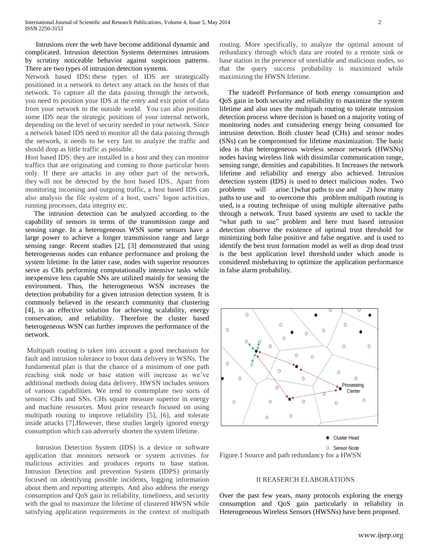Intrusions over the web have become additional dynamic and complicated. Intrusion detection Systems determines intrusions by scrutiny noticeable behavior against suspicious patterns. There are two types of intrusion detection systems.

Network based IDS**:** these types of IDS are strategically positioned in a network to detect any attack on the hosts of that network. To capture all the data passing through the network, you need to position your IDS at the entry and exit point of data from your network to the outside world. You can also position some IDS near the strategic positions of your internal network, depending on the level of security needed in your network. Since a network based IDS need to monitor all the data passing through the network, it needs to be very fast to analyze the traffic and should drop as little traffic as possible.

Host based IDS: they are installed in a host and they can monitor traffics that are originating and coming to those particular hosts only. If there are attacks in any other part of the network, they will not be detected by the host based IDS.. Apart from monitoring incoming and outgoing traffic, a host based IDS can also analysis the file system of a host, users' logon activities, running processes, data integrity etc.

 The intrusion detection can be analyzed according to the capability of sensors in terms of the transmission range and sensing range. In a heterogeneous WSN some sensors have a large power to achieve a longer transmission range and large sensing range. Recent studies [2], [3] demonstrated that using heterogeneous nodes can enhance performance and prolong the system lifetime. In the latter case, nodes with superior resources serve as CHs performing computationally intensive tasks while inexpensive less capable SNs are utilized mainly for sensing the environment. Thus, the heterogeneous WSN increases the detection probability for a given intrusion detection system. It is commonly believed in the research community that clustering [4], is an effective solution for achieving scalability, energy conservation, and reliability. Therefore the cluster based heterogeneous WSN can further improves the performance of the network.

Multipath routing is taken into account a good mechanism for fault and intrusion tolerance to boost data delivery in WSNs. The fundamental plan is that the chance of a minimum of one path reaching sink node or base station will increase as we've additional methods doing data delivery. HWSN includes sensors of various capabilities. We tend to contemplate two sorts of sensors: CHs and SNs. CHs square measure superior in energy and machine resources. Most prior research focused on using multipath routing to improve reliability [5], [6], and tolerate inside attacks [7].However, these studies largely ignored energy consumption which can adversely shorten the system lifetime.

 Intrusion Detection System (IDS) is a device or software application that monitors network or system activities for malicious activities and produces reports to base station. Intrusion Detection and prevention System (IDPS) primarily focused on identifying possible incidents, logging information about them and reporting attempts. And also address the energy consumption and QoS gain in reliability, timeliness, and security with the goal to maximize the lifetime of clustered HWSN while satisfying application requirements in the context of multipath routing. More specifically, to analyze the optimal amount of redundancy through which data are routed to a remote sink or base station in the presence of unreliable and malicious nodes, so that the query success probability is maximized while maximizing the HWSN lifetime.

 The tradeoff Performance of both energy consumption and QoS gain in both security and reliability to maximize the system lifetime and also uses the multipath routing to tolerate intrusion detection process where decision is based on a majority voting of monitoring nodes and considering energy being consumed for intrusion detection. Both cluster head (CHs) and sensor nodes (SNs) can be compromised for lifetime maximization. The basic idea is that heterogeneous wireless sensor network (HWSNs) nodes having wireless link with dissimilar communication range, sensing range, densities and capabilities. It Increases the network lifetime and reliability and energy also achieved. Intrusion detection system (IDS) is used to detect malicious nodes. Two problems will arise:1)what paths to use and 2) how many paths to use and to overcome this problem multipath routing is used, is a routing technique of using multiple alternative paths through a network. Trust based systems are used to tackle the "what path to use" problem and here trust based intrusion detection observe the existence of optimal trust threshold for minimizing both false positive and false negative. and is used to identify the best trust formation model as well as drop dead trust is the best application level threshold under which anode is considered misbehaving to optimize the application performance in false alarm probability.



C Sensor Node Figure.1 Source and path redundancy for a HWSN

## II REASERCH ELABORATIONS

Over the past few years, many protocols exploring the energy consumption and QoS gain particularly in reliability in Heterogeneous Wireless Sensors (HWSNs) have been proposed.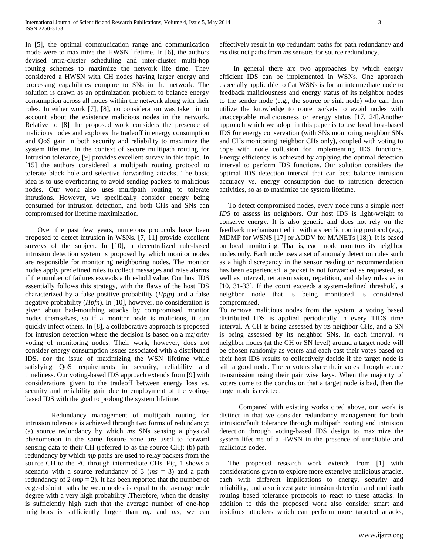In [5], the optimal communication range and communication mode were to maximize the HWSN lifetime. In [6], the authors devised intra-cluster scheduling and inter-cluster multi-hop routing schemes to maximize the network life time. They considered a HWSN with CH nodes having larger energy and processing capabilities compare to SNs in the network. The solution is drawn as an optimization problem to balance energy consumption across all nodes within the network along with their roles. In either work [7], [8], no consideration was taken in to account about the existence malicious nodes in the network. Relative to [8] the proposed work considers the presence of malicious nodes and explores the tradeoff in energy consumption and QoS gain in both security and reliability to maximize the system lifetime. In the context of secure multipath routing for Intrusion tolerance, [9] provides excellent survey in this topic. In [15] the authors considered a multipath routing protocol to tolerate black hole and selective forwarding attacks. The basic idea is to use overhearing to avoid sending packets to malicious nodes. Our work also uses multipath routing to tolerate intrusions. However, we specifically consider energy being consumed for intrusion detection, and both CHs and SNs can compromised for lifetime maximization.

 Over the past few years, numerous protocols have been proposed to detect intrusion in WSNs. [7, 11] provide excellent surveys of the subject. In [10], a decentralized rule-based intrusion detection system is proposed by which monitor nodes are responsible for monitoring neighboring nodes. The monitor nodes apply predefined rules to collect messages and raise alarms if the number of failures exceeds a threshold value. Our host IDS essentially follows this strategy, with the flaws of the host IDS characterized by a false positive probability (*Hpfp*) and a false negative probability (*Hpfn*). In [10], however, no consideration is given about bad-mouthing attacks by compromised monitor nodes themselves, so if a monitor node is malicious, it can quickly infect others. In [8], a collaborative approach is proposed for intrusion detection where the decision is based on a majority voting of monitoring nodes. Their work, however, does not consider energy consumption issues associated with a distributed IDS, nor the issue of maximizing the WSN lifetime while satisfying QoS requirements in security, reliability and timeliness. Our voting-based IDS approach extends from [9] with considerations given to the tradeoff between energy loss vs. security and reliability gain due to employment of the votingbased IDS with the goal to prolong the system lifetime.

 Redundancy management of multipath routing for intrusion tolerance is achieved through two forms of redundancy: (a) source redundancy by which *ms* SNs sensing a physical phenomenon in the same feature zone are used to forward sensing data to their CH (referred to as the source CH); (b) path redundancy by which *mp* paths are used to relay packets from the source CH to the PC through intermediate CHs. Fig. 1 shows a scenario with a source redundancy of 3 (*ms* = 3) and a path redundancy of 2 (*mp* = 2). It has been reported that the number of edge-disjoint paths between nodes is equal to the average node degree with a very high probability .Therefore, when the density is sufficiently high such that the average number of one-hop neighbors is sufficiently larger than *mp* and *ms*, we can effectively result in *mp* redundant paths for path redundancy and *ms* distinct paths from *ms* sensors for source redundancy.

 In general there are two approaches by which energy efficient IDS can be implemented in WSNs. One approach especially applicable to flat WSNs is for an intermediate node to feedback maliciousness and energy status of its neighbor nodes to the sender node (e.g., the source or sink node) who can then utilize the knowledge to route packets to avoid nodes with unacceptable maliciousness or energy status [17, 24].Another approach which we adopt in this paper is to use local host-based IDS for energy conservation (with SNs monitoring neighbor SNs and CHs monitoring neighbor CHs only), coupled with voting to cope with node collusion for implementing IDS functions. Energy efficiency is achieved by applying the optimal detection interval to perform IDS functions. Our solution considers the optimal IDS detection interval that can best balance intrusion accuracy vs. energy consumption due to intrusion detection activities, so as to maximize the system lifetime.

 To detect compromised nodes, every node runs a simple *host IDS* to assess its neighbors. Our host IDS is light-weight to conserve energy. It is also generic and does not rely on the feedback mechanism tied in with a specific routing protocol (e.g., MDMP for WSNS [17] or AODV for MANETs [18]). It is based on local monitoring. That is, each node monitors its neighbor nodes only. Each node uses a set of anomaly detection rules such as a high discrepancy in the sensor reading or recommendation has been experienced, a packet is not forwarded as requested, as well as interval, retransmission, repetition, and delay rules as in [10, 31-33]. If the count exceeds a system-defined threshold, a neighbor node that is being monitored is considered compromised.

To remove malicious nodes from the system, a voting based distributed IDS is applied periodically in every TIDS time interval. A CH is being assessed by its neighbor CHs, and a SN is being assessed by its neighbor SNs. In each interval, *m*  neighbor nodes (at the CH or SN level) around a target node will be chosen randomly as voters and each cast their votes based on their host IDS results to collectively decide if the target node is still a good node. The *m* voters share their votes through secure transmission using their pair wise keys. When the majority of voters come to the conclusion that a target node is bad, then the target node is evicted.

 Compared with existing works cited above, our work is distinct in that we consider redundancy management for both intrusion/fault tolerance through multipath routing and intrusion detection through voting-based IDS design to maximize the system lifetime of a HWSN in the presence of unreliable and malicious nodes.

 The proposed research work extends from [1] with considerations given to explore more extensive malicious attacks, each with different implications to energy, security and reliability, and also investigate intrusion detection and multipath routing based tolerance protocols to react to these attacks. In addition to this the proposed work also consider smart and insidious attackers which can perform more targeted attacks,